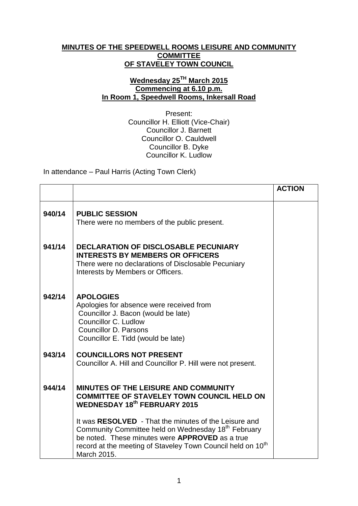## **MINUTES OF THE SPEEDWELL ROOMS LEISURE AND COMMUNITY COMMITTEE OF STAVELEY TOWN COUNCIL**

## **Wednesday 25TH March 2015 Commencing at 6.10 p.m. In Room 1, Speedwell Rooms, Inkersall Road**

Present: Councillor H. Elliott (Vice-Chair) Councillor J. Barnett Councillor O. Cauldwell Councillor B. Dyke Councillor K. Ludlow

In attendance – Paul Harris (Acting Town Clerk)

|        |                                                                                                                                                                                                                                                                              | <b>ACTION</b> |
|--------|------------------------------------------------------------------------------------------------------------------------------------------------------------------------------------------------------------------------------------------------------------------------------|---------------|
| 940/14 | <b>PUBLIC SESSION</b><br>There were no members of the public present.                                                                                                                                                                                                        |               |
| 941/14 | <b>DECLARATION OF DISCLOSABLE PECUNIARY</b><br><b>INTERESTS BY MEMBERS OR OFFICERS</b><br>There were no declarations of Disclosable Pecuniary<br>Interests by Members or Officers.                                                                                           |               |
| 942/14 | <b>APOLOGIES</b><br>Apologies for absence were received from<br>Councillor J. Bacon (would be late)<br>Councillor C. Ludlow<br><b>Councillor D. Parsons</b><br>Councillor E. Tidd (would be late)                                                                            |               |
| 943/14 | <b>COUNCILLORS NOT PRESENT</b><br>Councillor A. Hill and Councillor P. Hill were not present.                                                                                                                                                                                |               |
| 944/14 | MINUTES OF THE LEISURE AND COMMUNITY<br><b>COMMITTEE OF STAVELEY TOWN COUNCIL HELD ON</b><br><b>WEDNESDAY 18th FEBRUARY 2015</b>                                                                                                                                             |               |
|        | It was RESOLVED - That the minutes of the Leisure and<br>Community Committee held on Wednesday 18 <sup>th</sup> February<br>be noted. These minutes were <b>APPROVED</b> as a true<br>record at the meeting of Staveley Town Council held on 10 <sup>th</sup><br>March 2015. |               |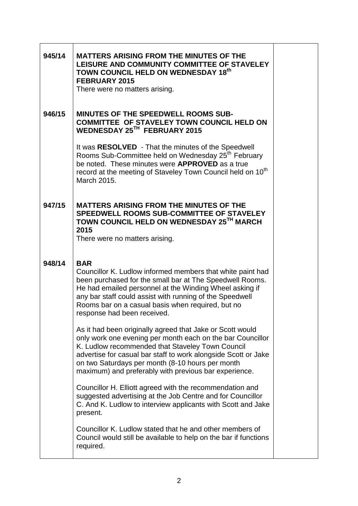| 945/14 | <b>MATTERS ARISING FROM THE MINUTES OF THE</b><br>LEISURE AND COMMUNITY COMMITTEE OF STAVELEY<br>TOWN COUNCIL HELD ON WEDNESDAY 18th<br><b>FEBRUARY 2015</b><br>There were no matters arising.                                                                                                                                                             |  |
|--------|------------------------------------------------------------------------------------------------------------------------------------------------------------------------------------------------------------------------------------------------------------------------------------------------------------------------------------------------------------|--|
| 946/15 | <b>MINUTES OF THE SPEEDWELL ROOMS SUB-</b><br><b>COMMITTEE OF STAVELEY TOWN COUNCIL HELD ON</b><br>WEDNESDAY 25TH FEBRUARY 2015                                                                                                                                                                                                                            |  |
|        | It was RESOLVED - That the minutes of the Speedwell<br>Rooms Sub-Committee held on Wednesday 25 <sup>th</sup> February<br>be noted. These minutes were <b>APPROVED</b> as a true<br>record at the meeting of Staveley Town Council held on 10 <sup>th</sup><br>March 2015.                                                                                 |  |
| 947/15 | <b>MATTERS ARISING FROM THE MINUTES OF THE</b><br>SPEEDWELL ROOMS SUB-COMMITTEE OF STAVELEY<br>TOWN COUNCIL HELD ON WEDNESDAY 25TH MARCH<br>2015<br>There were no matters arising.                                                                                                                                                                         |  |
| 948/14 | <b>BAR</b><br>Councillor K. Ludlow informed members that white paint had<br>been purchased for the small bar at The Speedwell Rooms.<br>He had emailed personnel at the Winding Wheel asking if<br>any bar staff could assist with running of the Speedwell<br>Rooms bar on a casual basis when required, but no<br>response had been received             |  |
|        | As it had been originally agreed that Jake or Scott would<br>only work one evening per month each on the bar Councillor<br>K. Ludlow recommended that Staveley Town Council<br>advertise for casual bar staff to work alongside Scott or Jake<br>on two Saturdays per month (8-10 hours per month<br>maximum) and preferably with previous bar experience. |  |
|        | Councillor H. Elliott agreed with the recommendation and<br>suggested advertising at the Job Centre and for Councillor<br>C. And K. Ludlow to interview applicants with Scott and Jake<br>present.                                                                                                                                                         |  |
|        | Councillor K. Ludlow stated that he and other members of<br>Council would still be available to help on the bar if functions<br>required.                                                                                                                                                                                                                  |  |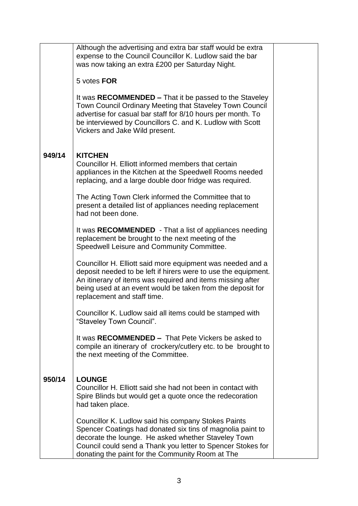|        | Although the advertising and extra bar staff would be extra<br>expense to the Council Councillor K. Ludlow said the bar<br>was now taking an extra £200 per Saturday Night.<br>5 votes FOR<br>It was RECOMMENDED – That it be passed to the Staveley<br>Town Council Ordinary Meeting that Staveley Town Council<br>advertise for casual bar staff for 8/10 hours per month. To<br>be interviewed by Councillors C. and K. Ludlow with Scott<br>Vickers and Jake Wild present. |  |
|--------|--------------------------------------------------------------------------------------------------------------------------------------------------------------------------------------------------------------------------------------------------------------------------------------------------------------------------------------------------------------------------------------------------------------------------------------------------------------------------------|--|
| 949/14 | <b>KITCHEN</b><br>Councillor H. Elliott informed members that certain<br>appliances in the Kitchen at the Speedwell Rooms needed<br>replacing, and a large double door fridge was required.                                                                                                                                                                                                                                                                                    |  |
|        | The Acting Town Clerk informed the Committee that to<br>present a detailed list of appliances needing replacement<br>had not been done.                                                                                                                                                                                                                                                                                                                                        |  |
|        | It was RECOMMENDED - That a list of appliances needing<br>replacement be brought to the next meeting of the<br>Speedwell Leisure and Community Committee.                                                                                                                                                                                                                                                                                                                      |  |
|        | Councillor H. Elliott said more equipment was needed and a<br>deposit needed to be left if hirers were to use the equipment.<br>An itinerary of items was required and items missing after<br>being used at an event would be taken from the deposit for<br>replacement and staff time.                                                                                                                                                                                        |  |
|        | Councillor K. Ludlow said all items could be stamped with<br>"Staveley Town Council".                                                                                                                                                                                                                                                                                                                                                                                          |  |
|        | It was RECOMMENDED - That Pete Vickers be asked to<br>compile an itinerary of crockery/cutlery etc. to be brought to<br>the next meeting of the Committee.                                                                                                                                                                                                                                                                                                                     |  |
| 950/14 | <b>LOUNGE</b><br>Councillor H. Elliott said she had not been in contact with<br>Spire Blinds but would get a quote once the redecoration<br>had taken place.                                                                                                                                                                                                                                                                                                                   |  |
|        | Councillor K. Ludlow said his company Stokes Paints<br>Spencer Coatings had donated six tins of magnolia paint to<br>decorate the lounge. He asked whether Staveley Town<br>Council could send a Thank you letter to Spencer Stokes for<br>donating the paint for the Community Room at The                                                                                                                                                                                    |  |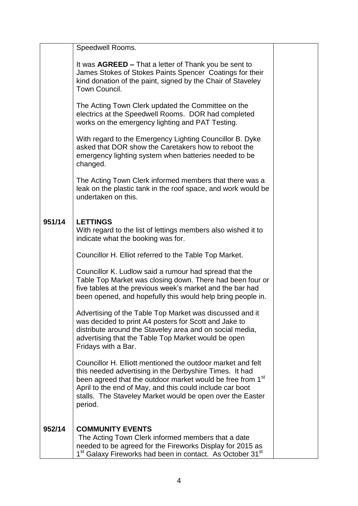|        | Speedwell Rooms.                                                                                                                                                                                                                                                                                                         |  |
|--------|--------------------------------------------------------------------------------------------------------------------------------------------------------------------------------------------------------------------------------------------------------------------------------------------------------------------------|--|
|        | It was <b>AGREED</b> – That a letter of Thank you be sent to<br>James Stokes of Stokes Paints Spencer Coatings for their<br>kind donation of the paint, signed by the Chair of Staveley<br>Town Council.                                                                                                                 |  |
|        | The Acting Town Clerk updated the Committee on the<br>electrics at the Speedwell Rooms. DOR had completed<br>works on the emergency lighting and PAT Testing.                                                                                                                                                            |  |
|        | With regard to the Emergency Lighting Councillor B. Dyke<br>asked that DOR show the Caretakers how to reboot the<br>emergency lighting system when batteries needed to be<br>changed.                                                                                                                                    |  |
|        | The Acting Town Clerk informed members that there was a<br>leak on the plastic tank in the roof space, and work would be<br>undertaken on this.                                                                                                                                                                          |  |
| 951/14 | <b>LETTINGS</b><br>With regard to the list of lettings members also wished it to<br>indicate what the booking was for.                                                                                                                                                                                                   |  |
|        | Councillor H. Elliot referred to the Table Top Market.                                                                                                                                                                                                                                                                   |  |
|        | Councillor K. Ludlow said a rumour had spread that the<br>Table Top Market was closing down. There had been four or<br>five tables at the previous week's market and the bar had<br>been opened, and hopefully this would help bring people in.                                                                          |  |
|        | Advertising of the Table Top Market was discussed and it<br>was decided to print A4 posters for Scott and Jake to<br>distribute around the Staveley area and on social media,<br>advertising that the Table Top Market would be open<br>Fridays with a Bar.                                                              |  |
|        | Councillor H. Elliott mentioned the outdoor market and felt<br>this needed advertising in the Derbyshire Times. It had<br>been agreed that the outdoor market would be free from 1st<br>April to the end of May, and this could include car boot<br>stalls. The Staveley Market would be open over the Easter<br>period. |  |
| 952/14 | <b>COMMUNITY EVENTS</b><br>The Acting Town Clerk informed members that a date<br>needed to be agreed for the Fireworks Display for 2015 as<br>1 <sup>st</sup> Galaxy Fireworks had been in contact. As October 31 <sup>st</sup>                                                                                          |  |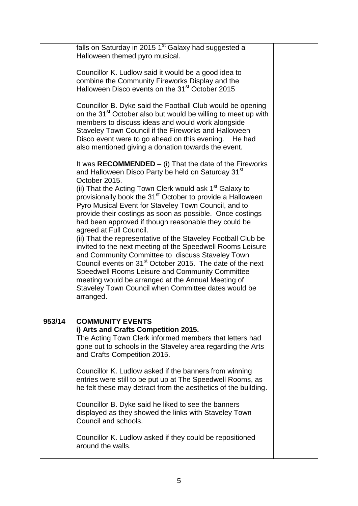|        | falls on Saturday in 2015 1 <sup>st</sup> Galaxy had suggested a<br>Halloween themed pyro musical.                                                                                                                                                                                                                                                                                                                                                                                                                                                                                                                                                                                                                                                                                                                                                                                                                                             |  |
|--------|------------------------------------------------------------------------------------------------------------------------------------------------------------------------------------------------------------------------------------------------------------------------------------------------------------------------------------------------------------------------------------------------------------------------------------------------------------------------------------------------------------------------------------------------------------------------------------------------------------------------------------------------------------------------------------------------------------------------------------------------------------------------------------------------------------------------------------------------------------------------------------------------------------------------------------------------|--|
|        | Councillor K. Ludlow said it would be a good idea to<br>combine the Community Fireworks Display and the<br>Halloween Disco events on the 31 <sup>st</sup> October 2015                                                                                                                                                                                                                                                                                                                                                                                                                                                                                                                                                                                                                                                                                                                                                                         |  |
|        | Councillor B. Dyke said the Football Club would be opening<br>on the 31 <sup>st</sup> October also but would be willing to meet up with<br>members to discuss ideas and would work alongside<br>Staveley Town Council if the Fireworks and Halloween<br>Disco event were to go ahead on this evening.<br>He had<br>also mentioned giving a donation towards the event.                                                                                                                                                                                                                                                                                                                                                                                                                                                                                                                                                                         |  |
|        | It was RECOMMENDED $-$ (i) That the date of the Fireworks<br>and Halloween Disco Party be held on Saturday 31 <sup>st</sup><br>October 2015.<br>(ii) That the Acting Town Clerk would ask 1 <sup>st</sup> Galaxy to<br>provisionally book the 31 <sup>st</sup> October to provide a Halloween<br>Pyro Musical Event for Staveley Town Council, and to<br>provide their costings as soon as possible. Once costings<br>had been approved if though reasonable they could be<br>agreed at Full Council.<br>(ii) That the representative of the Staveley Football Club be<br>invited to the next meeting of the Speedwell Rooms Leisure<br>and Community Committee to discuss Staveley Town<br>Council events on 31 <sup>st</sup> October 2015. The date of the next<br>Speedwell Rooms Leisure and Community Committee<br>meeting would be arranged at the Annual Meeting of<br>Staveley Town Council when Committee dates would be<br>arranged. |  |
| 953/14 | <b>COMMUNITY EVENTS</b><br>i) Arts and Crafts Competition 2015.<br>The Acting Town Clerk informed members that letters had<br>gone out to schools in the Staveley area regarding the Arts<br>and Crafts Competition 2015.                                                                                                                                                                                                                                                                                                                                                                                                                                                                                                                                                                                                                                                                                                                      |  |
|        | Councillor K. Ludlow asked if the banners from winning<br>entries were still to be put up at The Speedwell Rooms, as<br>he felt these may detract from the aesthetics of the building.                                                                                                                                                                                                                                                                                                                                                                                                                                                                                                                                                                                                                                                                                                                                                         |  |
|        | Councillor B. Dyke said he liked to see the banners<br>displayed as they showed the links with Staveley Town<br>Council and schools.                                                                                                                                                                                                                                                                                                                                                                                                                                                                                                                                                                                                                                                                                                                                                                                                           |  |
|        | Councillor K. Ludlow asked if they could be repositioned<br>around the walls.                                                                                                                                                                                                                                                                                                                                                                                                                                                                                                                                                                                                                                                                                                                                                                                                                                                                  |  |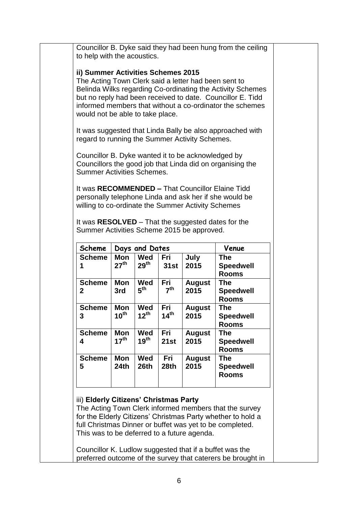| to help with the acoustics.                                                                                                    |                         |                         |                         |                       | Councillor B. Dyke said they had been hung from the ceiling                                                                                                                          |
|--------------------------------------------------------------------------------------------------------------------------------|-------------------------|-------------------------|-------------------------|-----------------------|--------------------------------------------------------------------------------------------------------------------------------------------------------------------------------------|
| ii) Summer Activities Schemes 2015<br>The Acting Town Clerk said a letter had been sent to<br>would not be able to take place. |                         |                         |                         |                       | Belinda Wilks regarding Co-ordinating the Activity Schemes<br>but no reply had been received to date. Councillor E. Tidd<br>informed members that without a co-ordinator the schemes |
| regard to running the Summer Activity Schemes.                                                                                 |                         |                         |                         |                       | It was suggested that Linda Bally be also approached with                                                                                                                            |
| Councillor B. Dyke wanted it to be acknowledged by<br><b>Summer Activities Schemes.</b>                                        |                         |                         |                         |                       | Councillors the good job that Linda did on organising the                                                                                                                            |
| willing to co-ordinate the Summer Activity Schemes                                                                             |                         |                         |                         |                       | It was RECOMMENDED - That Councillor Elaine Tidd<br>personally telephone Linda and ask her if she would be                                                                           |
| Summer Activities Scheme 2015 be approved.                                                                                     |                         |                         |                         |                       | It was RESOLVED - That the suggested dates for the                                                                                                                                   |
| Scheme                                                                                                                         |                         | Days and Dates          |                         |                       | Venue                                                                                                                                                                                |
| <b>Scheme</b><br>1                                                                                                             | Mon<br>$27^{\text{th}}$ | Wed<br>$29^{\sf th}$    | Fri<br><b>31st</b>      | July<br>2015          | <b>The</b><br><b>Speedwell</b><br><b>Rooms</b>                                                                                                                                       |
| <b>Scheme</b>                                                                                                                  | Mon<br>3rd              | Wed<br>$5^{\text{th}}$  | Fri<br>7 <sup>th</sup>  | <b>August</b><br>2015 | <b>The</b><br><b>Speedwell</b>                                                                                                                                                       |
| 2                                                                                                                              |                         |                         |                         |                       | <b>Rooms</b>                                                                                                                                                                         |
| <b>Scheme</b><br>3                                                                                                             | Mon<br>$10^{\text{th}}$ | Wed<br>$12^{th}$        | Fri<br>14 <sup>th</sup> | <b>August</b><br>2015 | <b>The</b><br><b>Speedwell</b><br><b>Rooms</b>                                                                                                                                       |
| <b>Scheme</b><br>4                                                                                                             | Mon<br>$17^{\text{th}}$ | Wed<br>$19^{\text{th}}$ | Fri<br>21st             | <b>August</b><br>2015 | <b>The</b><br><b>Speedwell</b><br><b>Rooms</b>                                                                                                                                       |
| <b>Scheme</b><br>5                                                                                                             | Mon<br>24th             | Wed<br>26th             | Fri<br>28th             | <b>August</b><br>2015 | <b>The</b><br><b>Speedwell</b><br><b>Rooms</b>                                                                                                                                       |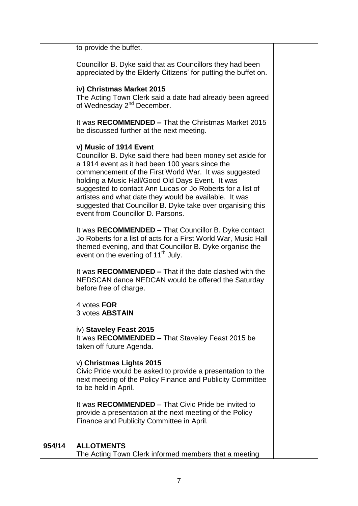|        | to provide the buffet.                                                                                                                                                                                                                                                                                                                                                                                                                                                           |  |
|--------|----------------------------------------------------------------------------------------------------------------------------------------------------------------------------------------------------------------------------------------------------------------------------------------------------------------------------------------------------------------------------------------------------------------------------------------------------------------------------------|--|
|        | Councillor B. Dyke said that as Councillors they had been<br>appreciated by the Elderly Citizens' for putting the buffet on.                                                                                                                                                                                                                                                                                                                                                     |  |
|        | iv) Christmas Market 2015<br>The Acting Town Clerk said a date had already been agreed<br>of Wednesday 2 <sup>nd</sup> December.                                                                                                                                                                                                                                                                                                                                                 |  |
|        | It was RECOMMENDED – That the Christmas Market 2015<br>be discussed further at the next meeting.                                                                                                                                                                                                                                                                                                                                                                                 |  |
|        | v) Music of 1914 Event<br>Councillor B. Dyke said there had been money set aside for<br>a 1914 event as it had been 100 years since the<br>commencement of the First World War. It was suggested<br>holding a Music Hall/Good Old Days Event. It was<br>suggested to contact Ann Lucas or Jo Roberts for a list of<br>artistes and what date they would be available. It was<br>suggested that Councillor B. Dyke take over organising this<br>event from Councillor D. Parsons. |  |
|        | It was RECOMMENDED - That Councillor B. Dyke contact<br>Jo Roberts for a list of acts for a First World War, Music Hall<br>themed evening, and that Councillor B. Dyke organise the<br>event on the evening of 11 <sup>th</sup> July.                                                                                                                                                                                                                                            |  |
|        | It was RECOMMENDED – That if the date clashed with the<br>NEDSCAN dance NEDCAN would be offered the Saturday<br>before free of charge.                                                                                                                                                                                                                                                                                                                                           |  |
|        | 4 votes FOR<br>3 votes <b>ABSTAIN</b>                                                                                                                                                                                                                                                                                                                                                                                                                                            |  |
|        | iv) Staveley Feast 2015<br>It was RECOMMENDED - That Staveley Feast 2015 be<br>taken off future Agenda.                                                                                                                                                                                                                                                                                                                                                                          |  |
|        | v) Christmas Lights 2015<br>Civic Pride would be asked to provide a presentation to the<br>next meeting of the Policy Finance and Publicity Committee<br>to be held in April.                                                                                                                                                                                                                                                                                                    |  |
|        | It was RECOMMENDED – That Civic Pride be invited to<br>provide a presentation at the next meeting of the Policy<br>Finance and Publicity Committee in April.                                                                                                                                                                                                                                                                                                                     |  |
| 954/14 | <b>ALLOTMENTS</b><br>The Acting Town Clerk informed members that a meeting                                                                                                                                                                                                                                                                                                                                                                                                       |  |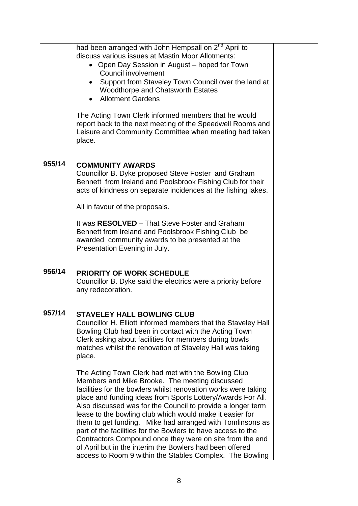|        | had been arranged with John Hempsall on 2 <sup>nd</sup> April to |  |
|--------|------------------------------------------------------------------|--|
|        | discuss various issues at Mastin Moor Allotments:                |  |
|        | Open Day Session in August - hoped for Town                      |  |
|        | <b>Council involvement</b>                                       |  |
|        | Support from Staveley Town Council over the land at              |  |
|        | <b>Woodthorpe and Chatsworth Estates</b>                         |  |
|        | <b>Allotment Gardens</b>                                         |  |
|        |                                                                  |  |
|        | The Acting Town Clerk informed members that he would             |  |
|        | report back to the next meeting of the Speedwell Rooms and       |  |
|        | Leisure and Community Committee when meeting had taken           |  |
|        | place.                                                           |  |
|        |                                                                  |  |
|        |                                                                  |  |
| 955/14 | <b>COMMUNITY AWARDS</b>                                          |  |
|        | Councillor B. Dyke proposed Steve Foster and Graham              |  |
|        | Bennett from Ireland and Poolsbrook Fishing Club for their       |  |
|        | acts of kindness on separate incidences at the fishing lakes.    |  |
|        |                                                                  |  |
|        | All in favour of the proposals.                                  |  |
|        |                                                                  |  |
|        | It was RESOLVED - That Steve Foster and Graham                   |  |
|        | Bennett from Ireland and Poolsbrook Fishing Club be              |  |
|        | awarded community awards to be presented at the                  |  |
|        | Presentation Evening in July.                                    |  |
|        |                                                                  |  |
| 956/14 |                                                                  |  |
|        | <b>PRIORITY OF WORK SCHEDULE</b>                                 |  |
|        | Councillor B. Dyke said the electrics were a priority before     |  |
|        | any redecoration.                                                |  |
|        |                                                                  |  |
| 957/14 | <b>STAVELEY HALL BOWLING CLUB</b>                                |  |
|        | Councillor H. Elliott informed members that the Staveley Hall    |  |
|        | Bowling Club had been in contact with the Acting Town            |  |
|        | Clerk asking about facilities for members during bowls           |  |
|        | matches whilst the renovation of Staveley Hall was taking        |  |
|        | place.                                                           |  |
|        |                                                                  |  |
|        | The Acting Town Clerk had met with the Bowling Club              |  |
|        | Members and Mike Brooke. The meeting discussed                   |  |
|        | facilities for the bowlers whilst renovation works were taking   |  |
|        | place and funding ideas from Sports Lottery/Awards For All.      |  |
|        | Also discussed was for the Council to provide a longer term      |  |
|        | lease to the bowling club which would make it easier for         |  |
|        | them to get funding. Mike had arranged with Tomlinsons as        |  |
|        | part of the facilities for the Bowlers to have access to the     |  |
|        | Contractors Compound once they were on site from the end         |  |
|        | of April but in the interim the Bowlers had been offered         |  |
|        | access to Room 9 within the Stables Complex. The Bowling         |  |